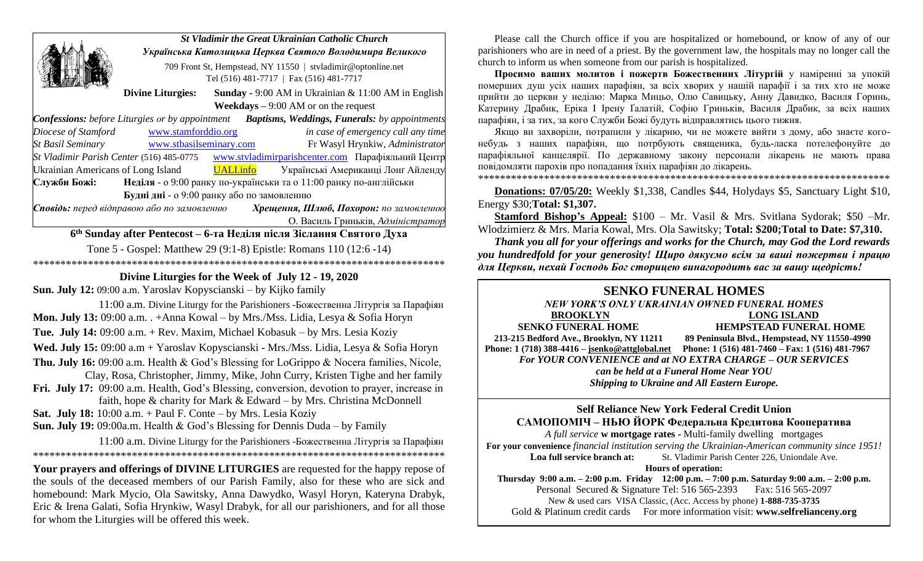|                                                                                                             | <b>St Vladimir the Great Ukrainian Catholic Church</b><br>Українська Католицька Церква Святого Володимира Великого |  |                                                                                                         |                                                                                                |
|-------------------------------------------------------------------------------------------------------------|--------------------------------------------------------------------------------------------------------------------|--|---------------------------------------------------------------------------------------------------------|------------------------------------------------------------------------------------------------|
|                                                                                                             |                                                                                                                    |  |                                                                                                         |                                                                                                |
|                                                                                                             |                                                                                                                    |  | 709 Front St, Hempstead, NY 11550   stvladimir@optonline.net<br>Tel (516) 481-7717   Fax (516) 481-7717 |                                                                                                |
|                                                                                                             | <b>Divine Liturgies:</b>                                                                                           |  |                                                                                                         | <b>Sunday - 9:00 AM</b> in Ukrainian & 11:00 AM in English                                     |
|                                                                                                             |                                                                                                                    |  | <b>Weekdays</b> $-9:00$ AM or on the request                                                            |                                                                                                |
| <b>Confessions:</b> before Liturgies or by appointment <b>Baptisms, Weddings, Funerals:</b> by appointments |                                                                                                                    |  |                                                                                                         |                                                                                                |
| Diocese of Stamford                                                                                         | www.stamforddio.org                                                                                                |  |                                                                                                         | in case of emergency call any time                                                             |
| <b>St Basil Seminary</b>                                                                                    | www.stbasilseminary.com                                                                                            |  |                                                                                                         | Fr Wasyl Hrynkiw, Administrator                                                                |
| St Vladimir Parish Center (516) 485-0775 www.stvladimirparishcenter.com Парафіяльний Центр                  |                                                                                                                    |  |                                                                                                         |                                                                                                |
| Ukrainian Americans of Long Island UALLinfo                                                                 |                                                                                                                    |  |                                                                                                         | Українські Американці Лонг Айленду                                                             |
| Служби Божі:                                                                                                |                                                                                                                    |  | Неділя - о 9:00 ранку по-українськи та о 11:00 ранку по-англійськи                                      |                                                                                                |
|                                                                                                             | Будні дні - о 9:00 ранку або по замовленню                                                                         |  |                                                                                                         |                                                                                                |
| Сповідь: перед відправою або по замовленню                                                                  |                                                                                                                    |  |                                                                                                         | Хрещення, Шлюб, Похорон: по замовленню                                                         |
|                                                                                                             |                                                                                                                    |  |                                                                                                         | О. Василь Гриньків, Адміністратор                                                              |
|                                                                                                             |                                                                                                                    |  | 6 <sup>th</sup> Sunday after Pentecost – 6-та Неділя після Зіслання Святого Духа                        |                                                                                                |
|                                                                                                             |                                                                                                                    |  | Tone 5 - Gospel: Matthew 29 (9:1-8) Epistle: Romans 110 (12:6 -14)                                      |                                                                                                |
|                                                                                                             |                                                                                                                    |  |                                                                                                         |                                                                                                |
|                                                                                                             |                                                                                                                    |  | Divine Liturgies for the Week of July 12 - 19, 2020                                                     |                                                                                                |
| <b>Sun. July 12:</b> 09:00 a.m. Yaroslav Kopyscianski – by Kijko family                                     |                                                                                                                    |  |                                                                                                         |                                                                                                |
|                                                                                                             |                                                                                                                    |  |                                                                                                         | $11.00 \text{ s}$ m. Diving Liturgy for the Perichianers. For recreating Historia 23 Hanaghian |

 11:00 a.m. Divine Liturgy for the Parishioners -Божественна Літургія за Парафіян **Mon. July 13:** 09:00 a.m. . +Anna Kowal – by Mrs./Mss. Lidia, Lesya & Sofia Horyn **Tue. July 14:** 09:00 a.m. + Rev. Maxim, Michael Kobasuk – by Mrs. Lesia Koziy **Wed. July 15:** 09:00 a.m + Yaroslav Kopyscianski - Mrs./Mss. Lidia, Lesya & Sofia Horyn **Thu. July 16:** 09:00 a.m. Health & God's Blessing for LoGrippo & Nocera families, Nicole, Clay, Rosa, Christopher, Jimmy, Mike, John Curry, Kristen Tighe and her family **Fri. July 17:** 09:00 a.m. Health, God's Blessing, conversion, devotion to prayer, increase in faith, hope & charity for Mark & Edward – by Mrs. Christina McDonnell **Sat. July 18:** 10:00 a.m. + Paul F. Conte – by Mrs. Lesia Koziy

**Sun. July 19:** 09:00a.m. Health & God's Blessing for Dennis Duda – by Family

 11:00 a.m. Divine Liturgy for the Parishioners -Божественна Літургія за Парафіян \*\*\*\*\*\*\*\*\*\*\*\*\*\*\*\*\*\*\*\*\*\*\*\*\*\*\*\*\*\*\*\*\*\*\*\*\*\*\*\*\*\*\*\*\*\*\*\*\*\*\*\*\*\*\*\*\*\*\*\*\*\*\*\*\*\*\*\*\*\*\*\*\*\*\*

**Your prayers and offerings of DIVINE LITURGIES** are requested for the happy repose of the souls of the deceased members of our Parish Family, also for these who are sick and homebound: Mark Mycio, Ola Sawitsky, Anna Dawydko, Wasyl Horyn, Kateryna Drabyk, Eric & Irena Galati, Sofia Hrynkiw, Wasyl Drabyk, for all our parishioners, and for all those for whom the Liturgies will be offered this week.

Please call the Church office if you are hospitalized or homebound, or know of any of our parishioners who are in need of a priest. By the government law, the hospitals may no longer call the church to inform us when someone from our parish is hospitalized.

**Просимо вашиx молитов і пожертв Божественних Літургій** у наміренні за упокiй помершиx душ усix нашиx парафiян, за всix xвориx у нашiй парафiї i за тиx xто не може прийти до церкви у недiлю: Марка Мицьо, Олю Савицьку, Анну Давидко, Василя Горинь, Катерину Драбик, Еріка І Ірену Ґалатій, Софію Гриньків, Василя Драбик, за всix нашиx парафiян, i за тиx, за кого Служби Божi будуть вiдправлятись цього тижня.

Якщо ви заxворiли, потрапили у лiкарню, чи не можете вийти з дому, або знаєте когонебудь з нашиx парафiян, що потрбують священика, будь-ласка потелефонуйте до парафiяльної канцелярiї. По державному закону персонали лiкарень не мають права повiдомляти пароxiв про попадання їxнix парафiян до лiкарень.

\*\*\*\*\*\*\*\*\*\*\*\*\*\*\*\*\*\*\*\*\*\*\*\*\*\*\*\*\*\*\*\*\*\*\*\*\*\*\*\*\*\*\*\*\*\*\*\*\*\*\*\*\*\*\*\*\*\*\*\*\*\*\*\*\*\*\*\*\*\*\*\*\*\*\*

**Donations: 07/05/20:** Weekly \$1,338, Candles \$44, Holydays \$5, Sanctuary Light \$10, Energy \$30;**Total: \$1,307.**

**Stamford Bishop's Appeal:** \$100 – Mr. Vasil & Mrs. Svitlana Sydorak; \$50 –Mr. Wlodzimierz & Mrs. Maria Kowal, Mrs. Ola Sawitsky; **Total: \$200;Total to Date: \$7,310.**

*Thank you all for your offerings and works for the Church, may God the Lord rewards you hundredfold for your generosity! Щирo дякуємо всім за ваші пожертви і працю для Церкви, нехай Господь Бог сторицею винагородить вас за вашу щедрість!* 

## **SENKO FUNERAL HOMES**

*NEW YORK'S ONLY UKRAINIAN OWNED FUNERAL HOMES* **BROOKLYN LONG ISLAND SENKO FUNERAL HOME HEMPSTEAD FUNERAL HOME 213-215 Bedford Ave., Brooklyn, NY 11211 89 Peninsula Blvd., Hempstead, NY 11550-4990 Phone: 1 (718) 388-4416 – [jsenko@attglobal.net](mailto:jsenko@attglobal.net) Phone: 1 (516) 481-7460 – Fax: 1 (516) 481-7967** *For YOUR CONVENIENCE and at NO EXTRA CHARGE – OUR SERVICES can be held at a Funeral Home Near YOU Shipping to Ukraine and All Eastern Europe.*

### **Self Reliance New York Federal Credit Union САМОПОМІЧ – НЬЮ ЙОРК Федеральна Кредитова Кооператива**

*A full service* **w mortgage rates -** Multi-family dwellingmortgages **For your convenience** *financial institution serving the Ukrainian-American community since 1951!*  **Loa full service branch at:** St. Vladimir Parish Center 226, Uniondale Ave. **Hours of operation:**

**Thursday 9:00 a.m. – 2:00 p.m. Friday 12:00 p.m. – 7:00 p.m. Saturday 9:00 a.m. – 2:00 p.m.** Personal Secured & Signature Tel: 516 565-2393 Fax: 516 565-2097 New & used cars VISA Classic, (Acc. Access by phone) **1-888-735-3735** Gold & Platinum credit cards For more information visit: **www.selfrelianceny.org**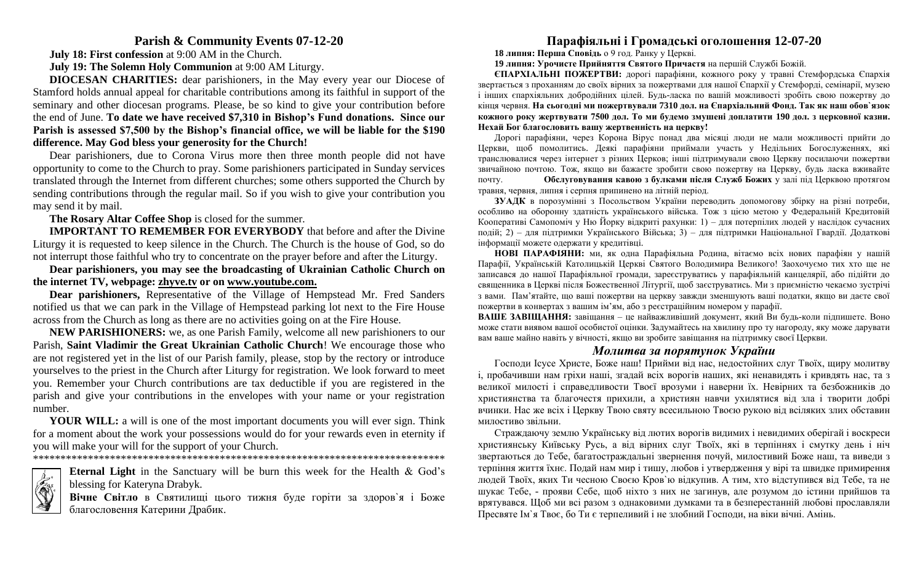### **Parish & Community Events 07-12-20**

**July 18: First confession** at 9:00 AM in the Church.

**July 19: The Solemn Holy Communion** at 9:00 AM Liturgy.

**DIOCESAN CHARITIES:** dear parishioners, in the May every year our Diocese of Stamford holds annual appeal for charitable contributions among its faithful in support of the seminary and other diocesan programs. Please, be so kind to give your contribution before the end of June. **To date we have received \$7,310 in Bishop's Fund donations. Since our Parish is assessed \$7,500 by the Bishop's financial office, we will be liable for the \$190 difference. May God bless your generosity for the Church!**

Dear parishioners, due to Corona Virus more then three month people did not have opportunity to come to the Church to pray. Some parishioners participated in Sunday services translated through the Internet from different churches; some others supported the Church by sending contributions through the regular mail. So if you wish to give your contribution you may send it by mail.

**The Rosary Altar Coffee Shop** is closed for the summer.

**IMPORTANT TO REMEMBER FOR EVERYBODY** that before and after the Divine Liturgy it is requested to keep silence in the Church. The Church is the house of God, so do not interrupt those faithful who try to concentrate on the prayer before and after the Liturgy.

**Dear parishioners, you may see the broadcasting of Ukrainian Catholic Church on the internet TV, webpage: [zhyve.tv](http://www.ugcc.org.ua/) or on [www.youtube.com.](http://www.youtube.com/)**

**Dear parishioners,** Representative of the Village of Hempstead Mr. Fred Sanders notified us that we can park in the Village of Hempstead parking lot next to the Fire House across from the Church as long as there are no activities going on at the Fire House.

**NEW PARISHIONERS:** we, as one Parish Family, welcome all new parishioners to our Parish, **Saint Vladimir the Great Ukrainian Catholic Church**! We encourage those who are not registered yet in the list of our Parish family, please, stop by the rectory or introduce yourselves to the priest in the Church after Liturgy for registration. We look forward to meet you. Remember your Church contributions are tax deductible if you are registered in the parish and give your contributions in the envelopes with your name or your registration number.

**YOUR WILL:** a will is one of the most important documents you will ever sign. Think for a moment about the work your possessions would do for your rewards even in eternity if you will make your will for the support of your Church.

\*\*\*\*\*\*\*\*\*\*\*\*\*\*\*\*\*\*\*\*\*\*\*\*\*\*\*\*\*\*\*\*\*\*\*\*\*\*\*\*\*\*\*\*\*\*\*\*\*\*\*\*\*\*\*\*\*\*\*\*\*\*\*\*\*\*\*\*\*\*\*\*\*\*\*



**Eternal Light** in the Sanctuary will be burn this week for the Health & God's blessing for Kateryna Drabyk.

**Вічне Світло** в Святилищі цього тижня буде горіти за здоров`я і Боже благословення Катерини Драбик.

# **Парафіяльні і Громадські оголошення 12-07-20**

**18 липня: Перша Сповідь** о 9 год. Ранку у Церкві.

**19 липня: Урочисте Прийняття Святого Причастя** на першій Службі Божій.

**ЄПАРХІАЛЬНІ ПОЖЕРТВИ:** дорогі парафіяни, кожного року у травні Стемфордська Єпархія звертається з проханням до своїх вірних за пожертвами для нашої Єпархії у Стемфорді, семінарії, музею і інших єпархіяльних добродійних цілей. Будь-ласка по вашій можливості зробіть свою пожертву до кінця червня. **На сьогодні ми пожертвували 7310 дол. на Єпархіальний Фонд. Так як наш обов`язок кожного року жертвувати 7500 дол. То ми будемо змушені доплатити 190 дол. з церковної казни. Нехай Бог благословить вашу жертвенність на церкву!**

Дорогі парафіяни, через Корона Вірус понад два місяці люди нe мали можливості прийти до Церкви, щоб помолитись. Деякі парафіяни приймали участь у Недільних Богослуженнях, які транслювалися через інтернет з різних Церков; інші підтримували свою Церкву посилаючи пожертви звичайною почтою. Тож, якщо ви бажаєте зробити свою пожертву на Церкву, будь ласка вживайте почту. **Обслуговування кавою з булками після Служб Божих** у залі під Церквою протягом травня, червня, липня і серпня припинено на літній період.

**ЗУАДК** в порозумінні з Посольством України переводить допомогову збірку на різні потреби, особливо на оборонну здатність українського війська. Тож з цією метою у Федеральній Кредитовій Кооперативі Самопоміч у Ню Йорку відкриті рахунки: 1) – для потерпілих людей у наслідок сучасних подій; 2) – для підтримки Українського Війська; 3) – для підтримки Національної Гвардії. Додаткові інформації можете одержати у кредитівцi.

**НОВІ ПАРАФІЯНИ:** ми, як одна Парафіяльна Родина, вітаємо всіх нових парафіян у нашій Парафії, Українській Католицькій Церкві Святого Володимира Великого! Заохочуємо тих хто ще не записався до нашої Парафіяльної громади, зареєструватись у парафіяльній канцелярії, або підійти до священника в Церкві після Божественної Літургії, щоб заєструватись. Ми з приємністю чекаємо зустрічі з вами. Пам'ятайте, що вашi пожертви на церкву завжди зменшують вашi податки, якщо ви даєте свої пожертви в конвертаx з вашим iм'ям, або з реєстрацiйним номером у парафiї.

**ВАШЕ ЗАВІЩАННЯ:** завіщання – це найважливіший документ, який Ви будь-коли підпишете. Воно може стати виявом вашої особистої оцінки. Задумайтесь на хвилину про ту нагороду, яку може дарувати вам ваше майно навіть у вічності, якщо ви зробите завіщання на підтримку своєї Церкви.

### *Молитва за порятунок України*

Господи Ісусе Христе, Боже наш! Прийми від нас, недостойних слуг Твоїх, щиру молитву і, пробачивши нам гріхи наші, згадай всіх ворогів наших, які ненавидять і кривдять нас, та з великої милості і справедливости Твоєї врозуми і наверни їх. Невірних та безбожників до християнства та благочестя прихили, а християн навчи ухилятися від зла і творити добрі вчинки. Нас же всіх і Церкву Твою святу всесильною Твоєю рукою від всіляких злих обставин милостиво звільни.

Страждаючу землю Українську від лютих ворогів видимих і невидимих оберігай і воскреси християнську Київську Русь, а від вірних слуг Твоїх, які в терпіннях і смутку день і ніч звертаються до Тебе, багатостраждальні звернення почуй, милостивий Боже наш, та виведи з терпіння життя їхнє. Подай нам мир і тишу, любов і утвердження у вірі та швидке примирення людей Твоїх, яких Ти чесною Своєю Кров`ю відкупив. А тим, хто відступився від Тебе, та не шукає Тебе, - прояви Себе, щоб ніхто з них не загинув, але розумом до істини прийшов та врятувався. Щоб ми всі разом з однаковими думками та в безперестанній любові прославляли Пресвяте Ім`я Твоє, бо Ти є терпеливий і не злобний Господи, на віки вічні. Амінь.